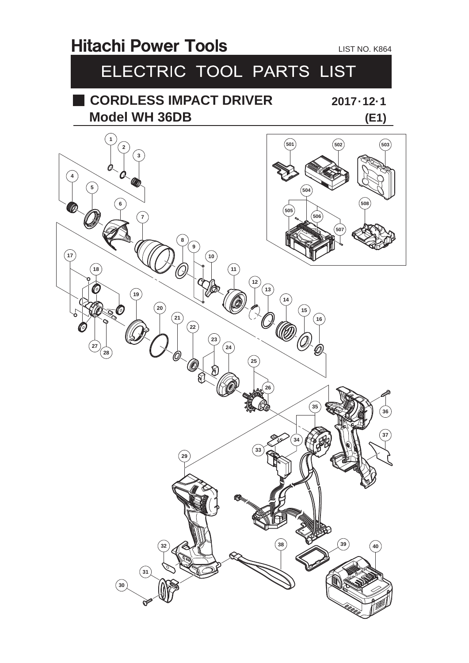## **Hitachi Power Tools** LIST NO. K864 ELECTRIC TOOL PARTS LIST **CORDLESS IMPACT DRIVER 2017 · 12· 1 Model WH 36DB (E1)**  $\left($ **11**  $\sqrt{12}$  f. **KID**   $\left( 24\right)$  ନ୍ମ **39 40**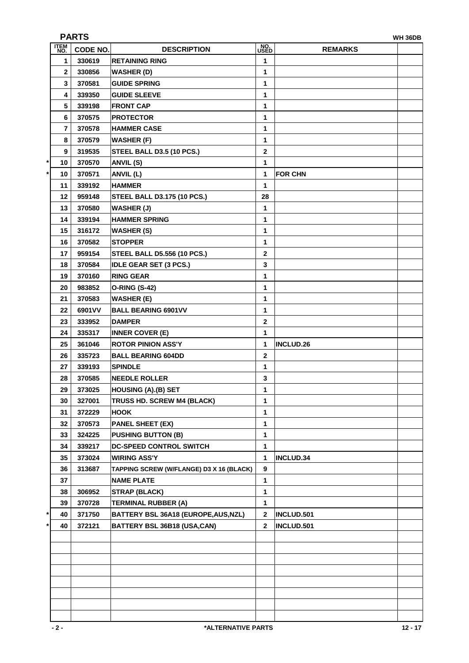| <b>PARTS</b><br><b>WH 36DB</b> |                 |                                          |                    |                  |  |  |
|--------------------------------|-----------------|------------------------------------------|--------------------|------------------|--|--|
| <b>ITEM</b><br>NO.             | <b>CODE NO.</b> | <b>DESCRIPTION</b>                       | NO.<br><b>USED</b> | <b>REMARKS</b>   |  |  |
| 1                              | 330619          | <b>RETAINING RING</b>                    | 1                  |                  |  |  |
| 2                              | 330856          | <b>WASHER (D)</b>                        | 1                  |                  |  |  |
| 3                              | 370581          | <b>GUIDE SPRING</b>                      | 1                  |                  |  |  |
| 4                              | 339350          | <b>GUIDE SLEEVE</b>                      | 1                  |                  |  |  |
| 5                              | 339198          | <b>FRONT CAP</b>                         | 1                  |                  |  |  |
| 6                              | 370575          | <b>PROTECTOR</b>                         | 1                  |                  |  |  |
| 7                              | 370578          | <b>HAMMER CASE</b>                       | 1                  |                  |  |  |
| 8                              | 370579          | <b>WASHER (F)</b>                        | 1                  |                  |  |  |
| 9                              | 319535          | STEEL BALL D3.5 (10 PCS.)                | $\mathbf{2}$       |                  |  |  |
| 10                             | 370570          | <b>ANVIL (S)</b>                         | 1                  |                  |  |  |
| 10                             | 370571          | ANVIL (L)                                | 1                  | <b>FOR CHN</b>   |  |  |
| 11                             | 339192          | <b>HAMMER</b>                            | 1                  |                  |  |  |
| 12                             | 959148          | <b>STEEL BALL D3.175 (10 PCS.)</b>       | 28                 |                  |  |  |
| 13                             | 370580          | <b>WASHER (J)</b>                        | 1                  |                  |  |  |
| 14                             | 339194          | <b>HAMMER SPRING</b>                     | 1                  |                  |  |  |
| 15                             | 316172          | <b>WASHER (S)</b>                        | 1                  |                  |  |  |
| 16                             | 370582          | <b>STOPPER</b>                           | 1                  |                  |  |  |
| 17                             | 959154          | <b>STEEL BALL D5.556 (10 PCS.)</b>       | $\mathbf{2}$       |                  |  |  |
| 18                             | 370584          | <b>IDLE GEAR SET (3 PCS.)</b>            | 3                  |                  |  |  |
| 19                             | 370160          | <b>RING GEAR</b>                         | 1                  |                  |  |  |
| 20                             | 983852          | <b>O-RING (S-42)</b>                     | 1                  |                  |  |  |
| 21                             | 370583          | <b>WASHER (E)</b>                        | 1                  |                  |  |  |
| 22                             | 6901 V V        | <b>BALL BEARING 6901VV</b>               | 1                  |                  |  |  |
| 23                             | 333952          | <b>DAMPER</b>                            | $\boldsymbol{2}$   |                  |  |  |
| 24                             | 335317          | <b>INNER COVER (E)</b>                   | 1                  |                  |  |  |
| 25                             | 361046          | <b>ROTOR PINION ASS'Y</b>                | 1                  | <b>INCLUD.26</b> |  |  |
| 26                             | 335723          | <b>BALL BEARING 604DD</b>                | $\boldsymbol{2}$   |                  |  |  |
| 27                             | 339193          | <b>SPINDLE</b>                           | 1                  |                  |  |  |
| 28                             | 370585          | <b>NEEDLE ROLLER</b>                     | 3                  |                  |  |  |
| 29                             | 373025          | <b>HOUSING (A).(B) SET</b>               | 1                  |                  |  |  |
| 30                             | 327001          | TRUSS HD. SCREW M4 (BLACK)               | 1                  |                  |  |  |
| 31                             | 372229          | <b>HOOK</b>                              | 1                  |                  |  |  |
| 32                             | 370573          | <b>PANEL SHEET (EX)</b>                  | 1                  |                  |  |  |
| 33                             | 324225          | <b>PUSHING BUTTON (B)</b>                | 1                  |                  |  |  |
| 34                             | 339217          | DC-SPEED CONTROL SWITCH                  | 1                  |                  |  |  |
| 35                             | 373024          | <b>WIRING ASS'Y</b>                      | 1                  | <b>INCLUD.34</b> |  |  |
| 36                             | 313687          | TAPPING SCREW (W/FLANGE) D3 X 16 (BLACK) | 9                  |                  |  |  |
| 37                             |                 | <b>NAME PLATE</b>                        | 1                  |                  |  |  |
| 38                             | 306952          | <b>STRAP (BLACK)</b>                     | 1                  |                  |  |  |
| 39                             | 370728          | <b>TERMINAL RUBBER (A)</b>               | 1                  |                  |  |  |
| 40                             | 371750          | BATTERY BSL 36A18 (EUROPE, AUS, NZL)     | 2                  | INCLUD.501       |  |  |
| 40                             | 372121          | BATTERY BSL 36B18 (USA,CAN)              | 2                  | INCLUD.501       |  |  |
|                                |                 |                                          |                    |                  |  |  |
|                                |                 |                                          |                    |                  |  |  |
|                                |                 |                                          |                    |                  |  |  |
|                                |                 |                                          |                    |                  |  |  |
|                                |                 |                                          |                    |                  |  |  |
|                                |                 |                                          |                    |                  |  |  |
|                                |                 |                                          |                    |                  |  |  |
|                                |                 |                                          |                    |                  |  |  |
|                                |                 |                                          |                    |                  |  |  |